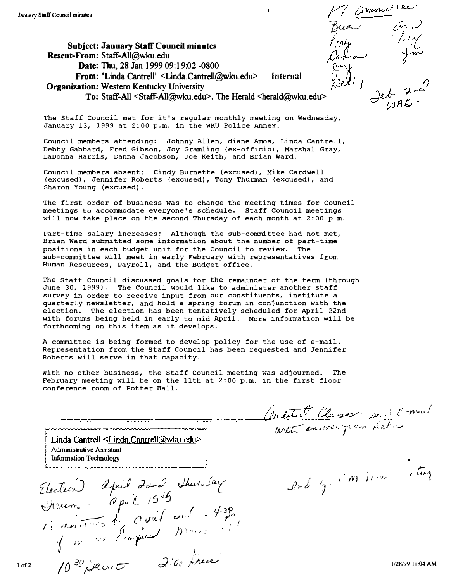Subject: January Staff Council minutes Resent-From: Staff-AII@wku.edu Date: Thu, 28 Jan 1999 09:19:02 -0800 From: "Linda Cantrell" <Linda.Cantrell@wku.edu> Organization: Western Kentucky University Internal To: Staff-All <Staff-All@wku.edu>, The Herald <herald@wku.edu>

The Staff Council met for it's regular monthly meeting on Wednesday, January 13, 1999 at 2:00 p.m. in the WKU Police AnneX.

Council members attending: Johnny Allen, diane Amos, Linda Cantrell, Debby Gabbard, Fred Gibson, Joy Gramling (ex-officio), Marshal Gray, LaDonna Harris, Danna Jacobson, Joe Keith, and Brian Ward.

Council members absent: cindy Burnette (excused), Mike Cardwell (excused), Jennifer Roberts (excused), Tony Thurman (excused), and Sharon Young (excused).

The first order of business was to change the meeting times for Council meetings to accommodate everyone'S schedule. staff Council meetings will now take place on the second Thursday of each month at 2:00 p.m.

Part-time salary increases: Although the sub-committee had not met, Brian Ward submitted some information about the number of part-time positions in each budget unit for the Council to review. The sub-committee will meet in early February with representatives from Human Resources, Payroll, and the Budget office.

The Staff council discussed goals for the remainder of the term (through June 30, 1999). The Council would like to administer another staff survey in order to receive input from our constituents, institute a quarterly newsletter, and hold a spring forum in conjunction with the election. The election has been tentatively scheduled for April 22nd with forums being held in early to mid April. More information will be forthcoming on this item as it develops.

A committee is being formed to develop policy for the use of e-mail. Representation from the Staff Council has been requested and Jennifer Roberts will serve in that capacity.

with no other business, the Staff Council meeting was adjourned. The February meeting will be on the 11th at 2:00 p.m. in the first floor conference room of Potter Hall.

auditect Classes perché prais

,

with answer from fieles

 $\mathcal{L}$ nd ig, L'M Dieux

Linda Cantrell  $\leq$ Linda.Cantrell@wku<br>sistant<br>alology Linda Cantrell <Linda Cantrell@wku.edu><br>
Administrative Assistant<br>
Information Technology Administrative Assistant<br>Information Technology

·

-' \_.\_-- .

Election cc<br>h april 22nd Friem - (? pv C 1549) Shews fay /  $\frac{1}{\sqrt{2\pi}}\int_{\mathbb{R}^n} \frac{1}{\sqrt{2\pi}}\left( \frac{1}{\sqrt{2\pi}}\right) e^{-\frac{1}{2}\left( \frac{1}{2}\right)}$  $m.e.$  it is by  $\frac{d}{d}$  .  $\frac{d}{d}$  .  $\frac{d}{d}$ miner von Japus Marci <sup>J</sup>" <sup>I</sup>  $439.$  $\hat{\vec{h}}$ , I  $10^{30}$  , Law  $\sigma$   $300$ ·J· 1 1�·wL/ 1128/99 1 i :04 AM  $\cdot$  .

Finly Fing Elley nad leb  $2^{\text{nd}}$ 

Buen  $\partial_{\mu}$ 

l I-i"'l

 $1$  of  $2$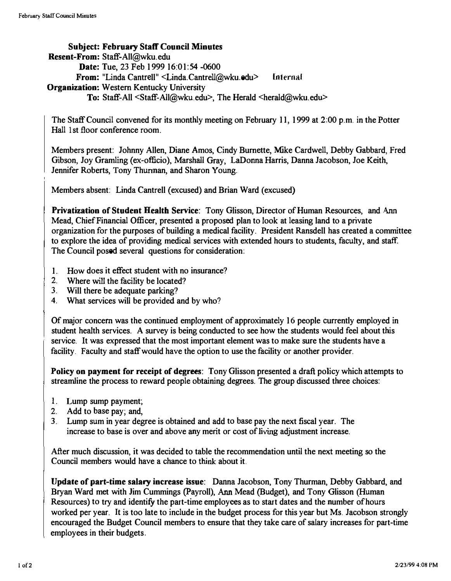#### Subject: February Staff Council Minutes Resent-From: Staff-AlI@wku.edu Date: Tue, 23 Feb 1999 16:01:54 -0600 From: "Linda Cantrell" <Linda.Cantrell@wku.odu> Internal Organization: Western Kentucky University To: Staff-All <Staff-All@wku.edu>, The Herald <herald@wku.edu>

The Staff Council convened for its monthly meeting on February 11, 1999 at 2 :00 p.m. in the Potier Hall 1st floor conference room.

Members present: Johnny Allen, Diane Amos, Cindy Burnette, Mike Cardwell, Debby Gabbard, Fred Gibson, Joy Gramling (ex-officio), Marshall Gray, LaDonna Harris, Danna Jacobson, Joe Keith, Jennifer Roberts, Tony Thurinan, and Sharon Young.

Members absent: Linda Cantrell (excused) and Brian Ward (excused)

Privatization of Student Health Service: Tony Glisson, Director of Human Resources, and Ann Mead, Chief Financial Officer, presented a proposed plan to look at leasing land to a private organization for the purposes of building a medical facility. President Ransdell has created a committee to explore the idea of providing medical services with extended hours to students, faculty, and staff. The Council posed several questions for consideration:

- 1. How does it effect student with no insurance?
- 2. Where will the facility be located?
- 3. Will there be adequate parking?
- 4. What services will be provided and by who?

Of major concern was the continued employment of approximately 16 people currently employed in student health services. A survey is being conducted to see how the students would feel about this service. It was expressed that the most important element was to make sure the students have a facility. Faculty and staff would have the option to use the facility or another provider.

Policy on payment for receipt of degrees: Tony Glisson presented a draft policy which attempts to streamline the process to reward people obtaining degrees. The group discussed three choices:

- 1. Lump sump payment;
- 2. Add to base pay; and,
- 3. Lump sum in year degree is obtained and add to base pay the next fiscal year. The increase to base is over and above any merit or cost of living adjustment increase.

After much discussion, it was decided to table the recommendation until the next meeting so the Council members would have a chance to think about it.

Update of part-time salary increase issue: Danna Jacobson, Tony Thurman, Debby Gabbard, and Bryan Ward met with Jim Cummings (payroll), Ann Mead (Budget), and Tony Glisson (Human Resources) to try and identify the part-time employees as to start dates and the number of hours worked per year. It is too late to include in the budget process for this year but Ms. Jacobson strongly encouraged the Budget Council members to ensure that they take care of salary increases for part-time employees in their budgets.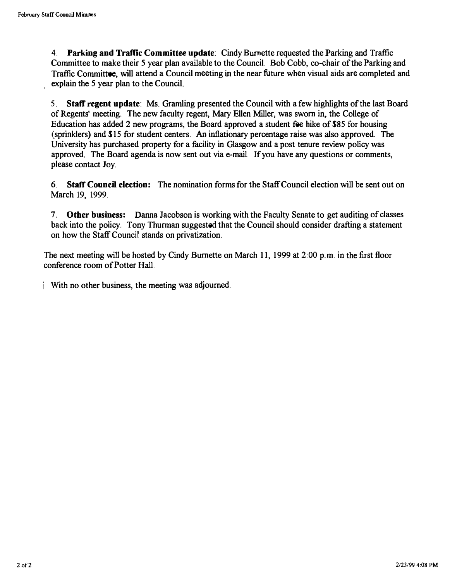4. Parking and Traffic Committee update: Cindy Burnette requested the Parking and Traffic Committee to make their 5 year plan available to the Council. Bob Cobb, co-chair of the Parking and Traffic Committee, will attend a Council meeting in the near future when visual aids are completed and explain the 5 year plan to the Council.

5. Staff regent update: Ms. Gramling presented the Council with a few highlights of the last Board of Regents' meeting. The new faculty regent, Mary Ellen Miller, was sworn in. the College of Education has added 2 new programs, the Board approved a student fee hike of \$85 for housing (sprinklers) and \$15 for student centers. An inflationary percentage raise was also approved. The University has purchased property for a facility in Glasgow and a post tenure review policy was approved. The Board agenda is now sent out via e-mail. If you have any questions or comments, please contact Joy.

6. Staff Council election: The nomination forms for the Staff Council election will be sent out on March 19, 1999.

7. Other business: Danna Jacobson is working with the Faculty Senate to get auditing of classes back into the policy. Tony Thurman suggested that the Council should consider drafting a statement on how the Staff Council stands on privatization.

The next meeting will be hosted by Cindy Burnette on March 11, 1999 at 2:00 p.m. in the first floor conference room of Potter Hall.

i With no other business, the meeting was adjourned.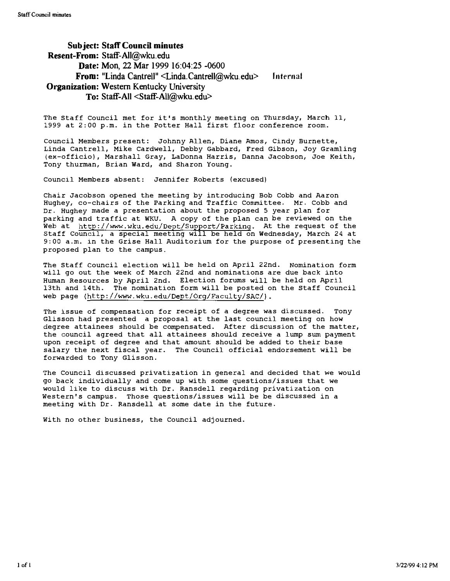#### Subject: Staff Council minutes Resent-From: Staff-All@wku.edu Date: Mon, 22 Mar 1999 16:04:25 -0600 From: "Linda Cantrell" <Linda.Cantrell@wku.edu> Organization: Western Kentucky University To: Staff-All <Staff-AlI@wku.edu> Internal

The Staff Council met for it's monthly meeting on Thursday, March 11, 1999 at 2:00 p.m. in the Potter Hall first floor conference room.

council Members present: Johnny Allen, Diane Amos, cindy Burnette, Linda Cantrell, Mike Cardwell, Debby Gabbard, Fred Gibson, Joy Gramling (ex-officio), Marshall Gray, LaDonna Harris, Danna Jacobson, Joe Keith, Tony thurman, Brian Ward, and Sharon Young.

Council Members absent: Jennifer Roberts (excused)

Chair Jacobson opened the meeting by introducing Bob Cobb and Aaron Hughey, co-chairs of the Parking and Traffic Committee. Mr. Cobb and Dr. Hughey made a presentation about the proposed 5 year plan for parking and traffic at WKU. A copy of the plan can be reviewed on the Web at http://www.wku.edu/Dept/Support/Parking. At the request of the staff council, a special meeting will be held on Wednesday, March 24 at 9:00 a.m. in the Grise Hall Auditorium for the purpose of presenting the proposed plan to the campus.

The Staff Council election will be held on April 22nd. Nomination form will go out the week of March 22nd and nominations are due back into Human Resources by April 2nd. Election forums will be held on April 13th and 14th. The nomination form will be posted on the Staff Council web page (http://www.wku.edu/Dept/Org/Faculty/SAC/).

The issue of compensation for receipt of a degree was discussed. Tony Glisson had presented a proposal at the last council meeting on how degree attainees should be compensated. After discussion of the matter, the council agreed that all attainees should receive a lump sum payment upon receipt of degree and that amount should be added to their base salary the next fiscal year. The council official endorsement will be forwarded to Tony Glisson.

The Council discussed privatization in general and decided that we would go back individually and come up with some questions/issues that we would like to discuss with Dr. Ransdell regarding privatization on Western's campus. Those questions/issues will be be discussed in a meeting with Dr. Ransdell at some date in the future.

With no other business, the Council adjourned.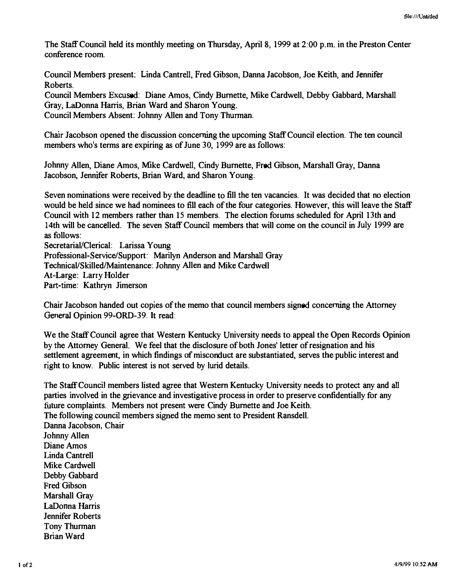The Staff Council held its monthly meeting on Thursday, April 8, 1999 at 2:00 p.m. in the Preston Center conference room.

Council Members present: Linda Cantrell, Fred Gibson, Danna Jacobson, Joe Keith, and Jennifer Roberts.

Council Members Excused: Diane Amos, Cindy Burnette, Mike Cardwell, Debby Gabbard, Marshall Gray, LaDonna Harris, Brian Ward and Sharon Young. Council Members Absent: Johnny Allen and Tony Thurman.

Chair Jacobson opened the discussion concerning the upcoming Staff Council election. The ten council members who's terms are expiring as of June 30, 1999 are as follows:

Johnny Allen, Diane Amos, Mike Cardwell, Cindy Burnette, Fred Gibson, Marshall Gray, Danna Jacobson, Jennifer Roberts, Brian Ward, and Sharon Young.

Seven nominations were received by the deadline to fill the ten vacancies. It was decided that no election would be held since we had nominees to fill each of the four categories. However, this will leave the Staff Council with 12 members rather than 15 members. The election forums scheduled for April 13th and 14th will be cancelled. The seven Staff Council members that will come on the council in July 1999 are as follows:

Secretarial/Clerical: Larissa Young Professional-Service/Support: Marilyn Anderson and Marshall Gray Technical/Skilled/Maintenance: Johnny Allen and Mike Cardwell At-Large: Larry Holder Part-time: Kathryn Jimerson

Chair Jacobson handed out copies of the memo that council members signed concerning the Attorney General Opinion 99-0RD-39. It read:

We the Staff Council agree that Western Kentucky University needs to appeal the Open Records Opinion by the Attorney General. We feel that the disclosure of both Jones' letter of resignation and his settlement agreement, in which findings of misconduct are substantiated, serves the public interest and right to know. Public interest is not served by lurid details.

The Staff Council members listed agree that Western Kentucky University needs to protect any and all parties involved in the grievance and investigative process in order to preserve confidentially for any future complaints. Members not present were Cindy Burnette and Joe Keith. The following council members signed the memo sent to President Ransdell.

Danna Jacobson, Chair Johnny Allen Diane Amos Linda Cantrell Mike Cardwell Debby Gabbard Fred Gibson Marshall Gray LaDonna Harris Jennifer Roberts Tony Thurman Brian Ward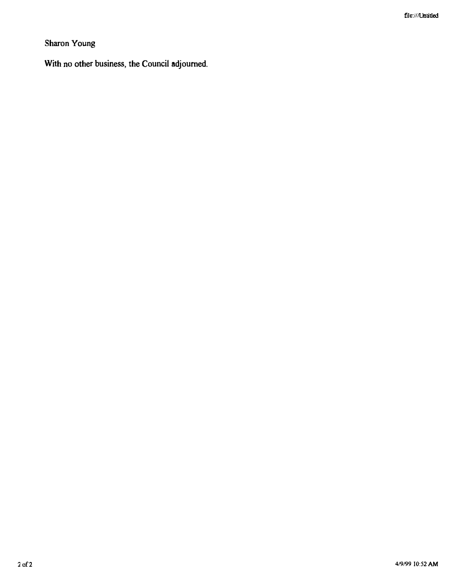### Sharon Young

With no other business, the Council adjourned. İ.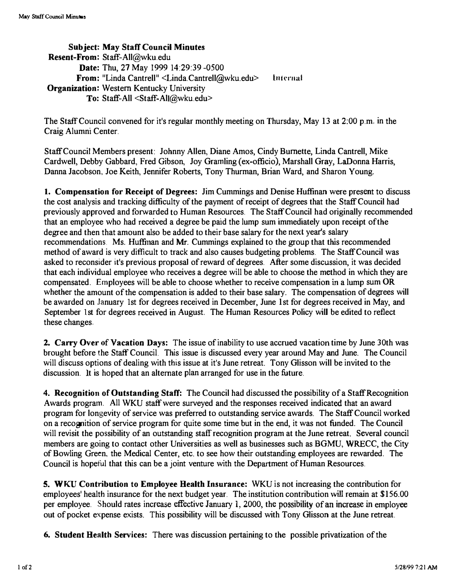SUbject: May Staff Council Minutes Resent-From: Staff-All@wku.edu Date: Thu, 27 May 1999 14:29:39 -0500 From: "Linda Cantrell" <Linda.Cantrell@wku.edu> lniernai Organization: Western Kentucky University To: Staff-All <Staff-AlI@wku.edu>

The Staff Council convened for it's regular monthly meeting on Thursday, May 13 at 2:00 p.m. in the Craig Alumni Center.

Staff Council Members present: Johnny Allen, Diane Amos, Cindy Burnette, Linda Cantrell, Mike Cardwell, Debby Gabbard, Fred Gibson, Joy Gramling (ex-officio), Marshall Gray, LaDonna Harris, Danna Jacobson, Joe Keith, Jennifer Roberts, Tony Thurman, Brian Ward, and Sharon Young.

1. Compensation for Receipt of Degrees: Jim Cummings and Denise Huffinan were present to discuss the cost analysis and tracking difficulty of the payment of receipt of degrees that the Staff Council had previously approved and forwarded to Human Resources. The Staff Council had originally recommended that an employee who had received a degree be paid the lump sum immediately upon receipt of the degree and then that amount also be added to their base salary for the next year's salary recommendations. Ms. Huffinan and Mr. Cummings explained to the group that this recommended method of award is very difficult to track and also causes budgeting problems. The Staff Council was asked to reconsider it's previous proposal of reward of degrees. After some discussion, it was decided that each individual employee who receives a degree will be able to choose the method in which they are compensated. Employees will be able to choose whether to receive compensation in a lump sum OR whether the amount of the compensation is added to their base salary. The compensation of degrees will be awarded on January 1st for degrees received in December, June 1st for degrees received in May, and September 1st for degrees received in August. The Human Resources Policy will be edited to reflect these changes.

2. Carry Over of Vacation Days: The issue of inability to use accrued vacation time by June 30th was brought before the Staff Council. This issue is discussed every year around May and June. The Council will discuss options of dealing with this issue at it's June retreat. Tony Glisson will be invited to the discussion. It is hoped that an alternate plan arranged for use in the future.

4. Recognition of Outstanding Staff: The Council had discussed the possibility of a Staff Recognition Awards program. All WKU staff were surveyed and the responses received indicated that an award program for longevity of service was preferred to outstanding service awards. The Staff Council worked on a recognition of service program for quite some time but in the end, it was not funded. The Council will revisit the possibility of an outstanding staff recognition program at the June retreat. Several council members are going to contact other Universities as well as businesses such as BGMU, WRECC, the City of Bowling Green, the Medical Center, etc. to see how their outstanding employees are rewarded. The Council is hopeful that this can be a joint venture with the Department of Human Resources.

5. WKU Contribution to Employee Health Insurance: WKU is not increasing the contribution for employees' health insurance for the next budget year. The institution contribution will remain at \$156.00 per employee. Should rates increase effective January I, 2000, the possibility of an increase in employee out of pocket expense exists. This possibility will be discussed with Tony Glisson at the June retreat.

6. Student Health Services: There was discussion pertaining to the possible privatization of the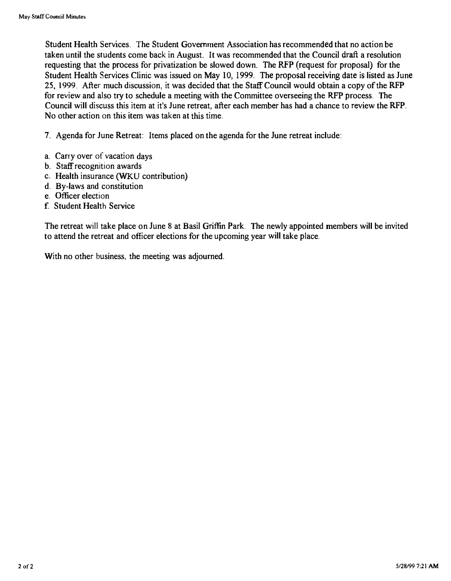Student Health Services. The Student Government Association has recommended that no action be taken until the students come back in August. It was recommended that the Council draft a resolution requesting that the process for privatization be slowed down. The RFP (request for proposal) for the Student Health Services Clinic was issued on May 10, 1999. The proposal receiving date is listed as June 25, 1999. After much discussion, it was decided that the Staff Council would obtain a copy of the RFP for review and also try to schedule a meeting with the Committee overseeing the RFP process. The Council will discuss this item at it's June retreat, after each member has had a chance to review the RFP, No other action on this item was taken at this time.

7. Agenda for June Retreat: Items placed on the agenda for the June retreat include:

- a. Carty over of vacation days
- b. Staff recognition awards
- c. Health insurance (WKU contribution)
- d. By-laws and constitution
- e. Officer election
- f Student Health Service

The retreat will take place on June 8 at Basil Griffin Park. The newly appointed members will be invited to attend the retreat and officer elections for the upcoming year will take place.

With no other business, the meeting was adjourned.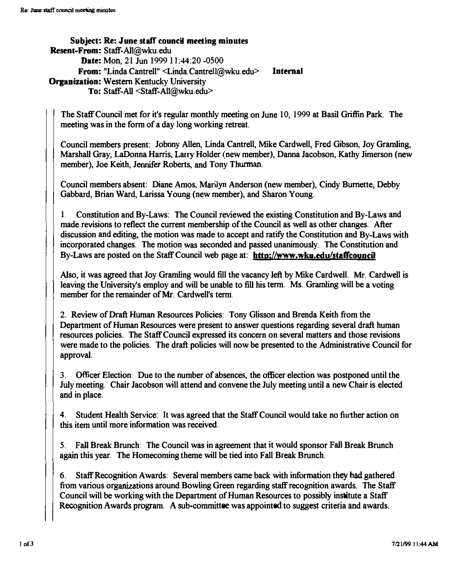Subject: Re: June staff council meeting minutes Resent-From: Staff-AlI@wku.edu Date: Mon, 21 Jun 1999 11:44:20 -0500 From: "Linda Cantrell" <Linda.Cantrel1@wku.edu> Internal **Organization: Western Kentucky University** To: Staff-All <Staff-AlI@wku.edu>

The Staff Council met for it's regular monthly meeting on June 10, 1999 at Basil Griffin Park. The meeting was in the form of a day long working retreat.

Council members present: Jobuny Allen, Linda Cantrell, Mike Cardwell, Fred Gibson, Joy Gramling, Marshall Gray, LaDonna Harris, Larry Holder (new member), Danna Jacobson, Kathy Jimerson (new member), Joe Keith, Jennifer Roberts, and Tony Thurman.

Council members absent: Diane Amos, Marilyn Anderson (new member), Cindy Bumerte, Debby Gabbard, Brian Ward, Larissa Young (new member), and Sharon Young.

1. Constitution and By-Laws: The Council reviewed the existing Constitution and By-Laws and made revisions to reflect the current membership of the Council as well as other changes. After discussion and editing, the motion was made to accept and ratify the Constitution and By-Laws with incorporated changes. The motion was seconded and passed unanimously. The Constitution and By-Laws are posted on the Staff Council web page at: **http://www.wku.edu/staffcouncil** 

Also, it was agreed that Joy Gramling would fill the vacancy left by Mike Cardwell. Mr. Cardwell is leaving the University's employ and will be unable to fill his term. Ms. Gramling will be a voting member for the remainder of Mr. Cardwell's term.

2. Review of Draft Human Resources Policies: Tony Glisson and Brenda Keith from the Department of Human Resources were present to answer questions regarding several draft human resources policies. The Staff Council expressed its concern on several matters and those revisions were made to the policies. The draft policies will now be presented to the Administrative Council for approval.

3. Officer Election: Due to the number of absences., the officer election was postponed until the July meeting. Chair Jacobson will attend and convene the July meeting until a new Chair is elected and in place.

4. Student Health Service: It was agreed that the Staff Council would take no further action on this item until more information was received.

5. Fall Break Brunch: The Council was in agreement that it would sponsor Fall Break Brunch again this year. The Homecoming theme will be tied into Fall Break Brunch.

6. Staff Recognition Awards: Several members carne back with information they bad gathered from various organizations around Bowling Green regarding staff recognition awards. The Staff Council will be working with the Department of Human Resources to possibly institute a Staff Recognition Awards program. A sub-committee was appointed to suggest criteria and awards.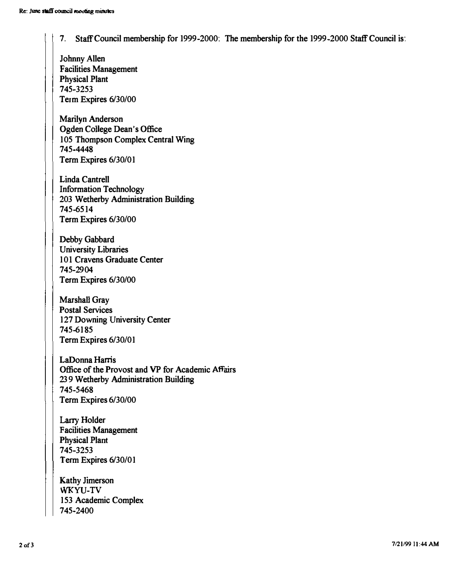7. Staff Council membership for 1999-2000: The membership for the 1999-2000 Staff Council is:

Johnny Allen Facilities Management Physical Plant 7 45-3253 Term Expires 6/30/00

Marilyn Anderson Ogden College Dean's Office 105 Thompson Complex Central Wing 745-4448 Term Expires 6/30/01

Linda Cantrell Information Technology 203 Wetherby Administration Building 745-6514 Term Expires 6/30/00

Debby Gabbard University Libraries 101 Cravens Graduate Center 745-2904 Term Expires 6/30/00

Marshall Gray Postal Services 127 Downing University Center 745-6185 Term Expires 6/30/01

LaDonna Hams Office of the Provost and VP for Academic Affairs 239 Wetherby Administration Building 745-5468 Term Expires 6/30/00

Larry Holder Facilities Management Physical Plant 7 45 -3253 Term Expires 6/30/01

Kathy Jimerson WKYU-TV 153 Academic Complex 745-2400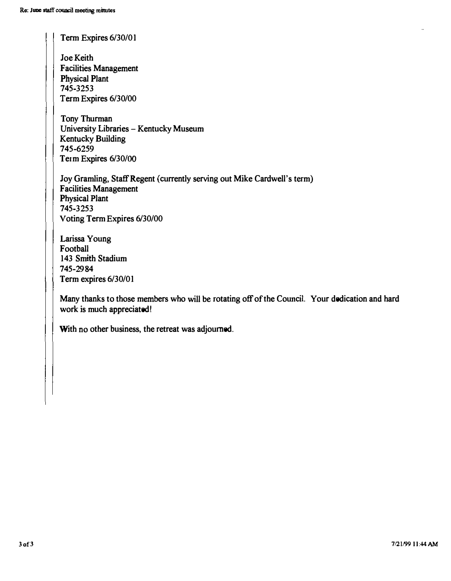Term Expires 6/30/01

Joe Keith Facilities Management Physical Plant 745·3253 Term Expires 6/30/00

Tony Thurman University Libraries - Kentucky Museum Kentucky Building 745·6259 Term Expires 6/30/00

Joy Gramling, Staff Regent (currently serving out Mike Cardwell's term) Facilities Management Physical Plant 745·3253 Voting Term Expires 6/30/00

Larissa Young Football 143 Smith Stadium 745·2984 Term expires 6/30/01

Many thanks to those members who will be rotating off of the Council. Your dedication and hard work is much appreciated!

With no other business, the retreat was adjourned.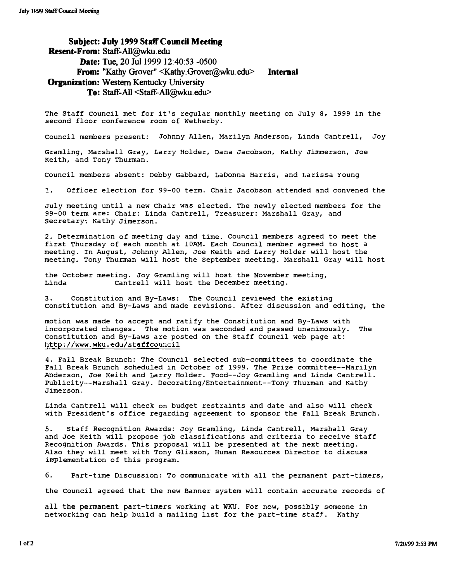SUbject: July 1999 Staff Council Meeting Resent-From: Staff-All@wku.edu Date: Tue, 20 Jul 1999 12:40:53 -0500 From: "Kathy Grover" <Kathy.Grover@wku.edu> **Organization: Western Kentucky University** To: Staff-All <Staff-All@wku.edu> Internal

The Staff Council met for it's regular monthly meeting on July 8, 1999 in the second floor conference room of Wetherby.

Council members present: Johnny Allen, Marilyn Anderson, Linda Cantrell, Joy

Gramling, Marshall Gray, Larry Holder, Dana Jacobson, Kathy Jimmerson, Joe Keith, and Tony Thurman.

Council members absent: Debby Gabbard, LaDonna Harris, and Larissa Young

1. Officer election for 99-00 term. Chair Jacobson attended and convened the

July meeting until a new Chair was elected. The newly elected members for the 99-00 term are: Chair: Linda Cantrell, Treasurer: Marshall Gray, and Secretary: Kathy Jimerson.

2. Determination of meeting day and time. Council members agreed to meet the first Thursday of each month at lOAM. Each Council member agreed to host a meeting. In August, Johnny Allen, Joe Keith and Larry Holder will host the meeting. Tony Thurman will host the September meeting. Marshall Gray will host

the October meeting. JOy Gramling will host the November meeting, Linda Cantrell will host the December meeting.

3. Constitution and By-Laws: The Council reviewed the existing constitution and By-Laws and made revisions. After discussion and editing, the

motion was made to accept and ratify the constitution and By-Laws with incorporated changes. The motion was seconded and passed unanimously. The Constitution and By-Laws are posted on the staff Council web page at: http://www.wku.edu/staffcouncil

4. Fall Break Brunch: The Council selected sub-committees to coordinate the Fall Break Brunch scheduled in October of 1999. The Prize committee--Marilyn Anderson, Joe Keith and Larry Holder. Food--Joy Gramling and Linda Cantrell. Publicity--Marshall Gray. Decorating/Entertainment--Tony Thurman and Kathy Jimerson.

Linda Cantrell will check on budget restraints and date and also will check with President's office regarding agreement to sponsor the Fall Break Brunch.

5. Staff Recognition Awards: Joy Gramling, Linda Cantrell, Marshall Gray and Joe Keith will propose job classifications and criteria to receive Staff Recognition Awards. This proposal will be presented at the next meeting. Also they will meet with Tony Glisson, Human Resources Director to discuss implementation of this program.

6. Part-time Discussion: To communicate with all the permanent part-timers,

the Council agreed that the new Banner system will contain accurate records of

all the permanent part-timers working at WKU. For now, possiblY someone in networking can help build a mailing list for the part-time staff. Kathy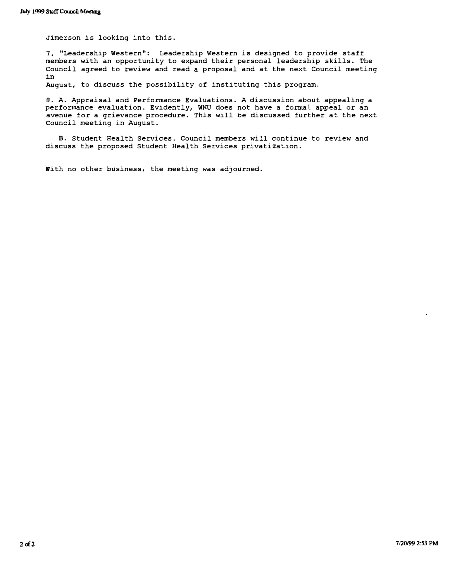Jimerson is looking into this.

7. "Leadership Western": Leadership western is designed to provide staff members with an opportunity to expand their personal leadership skills. The Council agreed to review and read a proposal and at the next Council meeting in

August, to discuss the possibility of instituting this program.

8. A. Appraisal and Performance Evaluations. A discussion about appealing a performance evaluation. Evidently, WKU does not have a formal appeal or an avenue for a grievance procedure. This will be discussed further at the next Council meeting in August.

8. Student Health Services. Council members will continue to review and discuss the proposed Student Health Services privatization.

With no other business, the meeting was adjourned.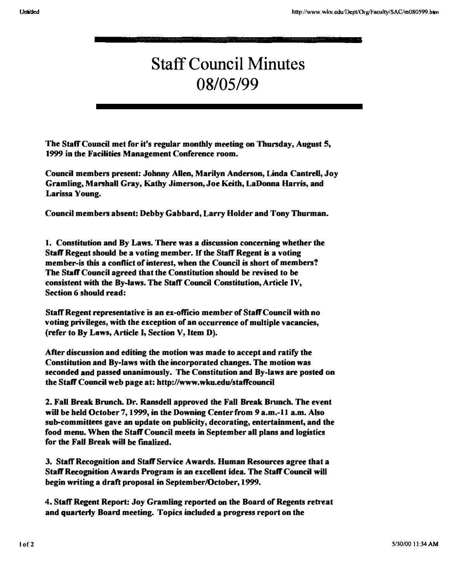# Staff Council Minutes 08/05/99

The Staff Council met for it's regular monthly meeting on Thursday, August 5, 1999 in the Facilities Management Conference room.

Council members present: Johnny Allen, Marilyn Anderson, Linda Cantrell, Joy Gramling, Marshall Gray, Kathy Jimerson, Joe Keith, LaDonna Harris, and Larissa Young.

Council members absent: Debby Gabbard, Larry Holder and Tony Thurman.

1. Constitution and By Laws. There was a discussion concerning whether the Staff Regent should be a voting member. If the Staff Regent is a voting member-is this a conflict of interest, when the Council is short of members? The Staff Council agreed that the Constitution should be revised to be consistent with the By-laws. The Staff Council Constitution, Article IV, Section 6 should read:

Staff Regent representative is an ex-officio member of Staff Council with no voting privileges, with the exception of an occurrence of multiple vacancies, (refer to By Laws, Article I, Section V, Item  $D$ ).

After discussion and editing the motion was made to accept and ratify the Constitution and By-laws with the incorporated changes. The motion was seconded and passed unanimously. The Constitution and By-laws are posted on the Staff Council web page at: http://www.wku.edu/staffcouncil

2. Fall Break Brunch. Dr. Ransdell approved the Fall Break Brunch. The event will be held October 7, 1999, in the Downing Center from 9 a.m.-11 a.m. Also sub-committees gave an update on publicity, decorating, entertainment, and the food menu. When the Staff Council meets in September all plans and logistics for the Fall Break will be finalized.

3. Staff Recognition and Staff Service Awards. Human Resources agree that a Staff Recognition Awards Program is an excellent idea. The Staff Council will begin writing a draft proposal in September/October, 1999.

4. Staff Regent Report: Joy Gramling reported on the Board of Regents retreat and quarterly Board meeting. Topics included a progress report on the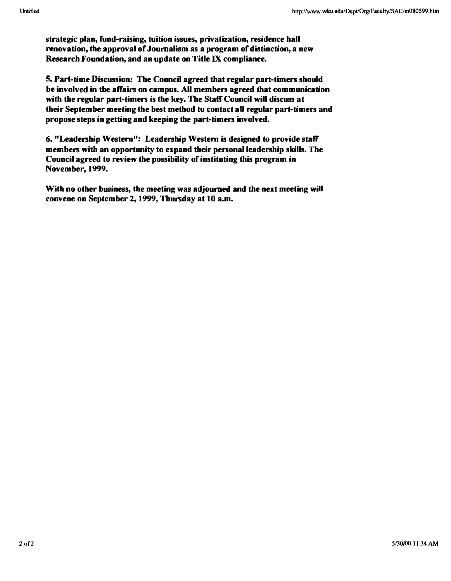strategic plan, fund-raising, tuition issues, privatization, residence hall renovation, the approval of Journalism as a program of distinction, a new Research Foundation, and an update on Title IX compliance.

5. Part-time Discussion! The Council agreed that regular part-timers should be involved in the affairs on campus. All members agreed that communication with the regular part-timers is the key. The Staff Council will discuss at their September meeting the best method to contact aU regular part-timers and propose steps in getting and keeping the part-timers involved.

6. "Leadership Western": Leadership Western is designed to provide staff members with an opportunity to expand their personal leadership skills. The Council agreed to review the possibility of instituting this program in November, 1999.

With no other business, the meeting was adjourned and the next meeting will convene on September 2, 1999, Thursday at 10 a.m.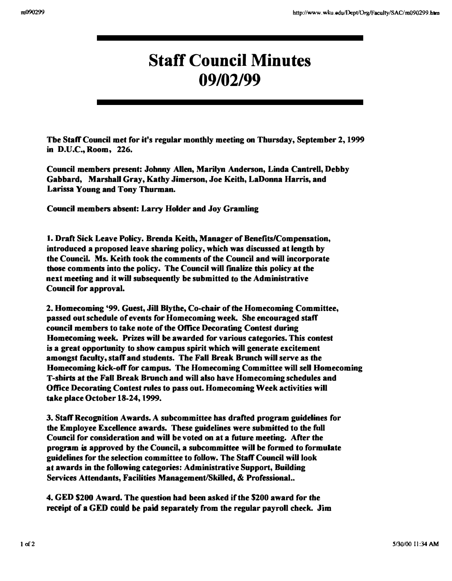## Staff Council Minutes 09/02/99

Tbe Staff Council met for it's regular monthly meeting on Thursday, September 2,1999 in D.U.C., Room, 226.

Council members present: Johnny Allen, Marilyn Anderson, Linda Cantrell, Debby Gabbard, Marshall Gray, Kathy Jimerson, Joe Keith, LaDunna Harris, and Larissa Young and Tony Thurman.

Council members absent: Larry Holder and Joy Gramling

1. Draft Sick Leave Policy. Brenda Keith, Manager of Benefits/Compensation, introduced a proposed leave sharing policy, which was discussed at length by the Council. Ms. Keith took the comments of the Council and will incorporate those comments into the policy. The Council will finalize this pOlicy at the next meeting and it will subsequently be submitted to the Administrative Council for approval.

2. Homecoming '99. Guest, Jill Blythe, Co-chair of the Homecoming Committee, passed out schedule of events for Homecoming week. She encouraged staff council members to take note of the Office Decorating Contest during Homecoming week. Prizes will be awarded for various categories. This contest is a great opportunity to show campus spirit which will generate excitement amongst faculty, staff and students. The Fall Break Brunch will serve as the Homecoming kick-off for campus. The Homecoming Committee will sell Homecoming T-shirts at the Fall Break Brunch and will also have Homecoming schedules and Office Decorating Contest niles to pass out. Homecoming Week activities will take place October 18-24, 1999.

3. StaffRecogoition Awards. A subcommittee has drafted program guidelines for the Employee Excellence awards. These guidelines were submitted to the full Council for consideration and will be voted on at a future meeting. After the program is approved by the Council, a subcommittee will be formed to formulate guidelines for the selection committee to follow. The Staff Council will look at awards in the following categories: Administrative Support, Building Services Attendants, Facilities Management/Skilled, & Professional..

4. GED \$200 Award. The question had been asked if the 5200 award for the receipt of a GED could be paid separately from the regular payroll check. Jim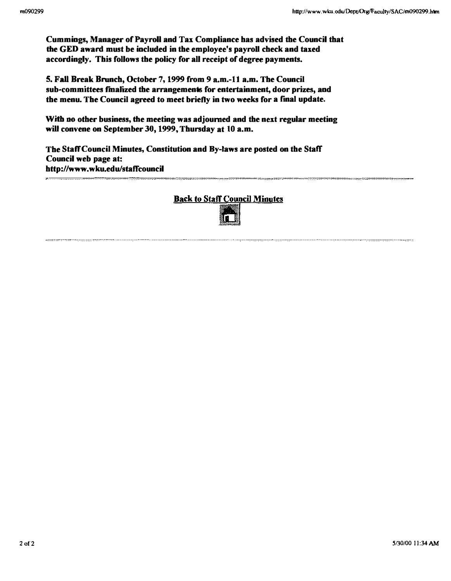Cummings, Manager of Payroll and Tax Compliance has advised the Council that the GED award must be included in the employee's payroll check and taxed accordingly. This follows the policy for all receipt of degree payments.

5. Fall Break Brunch, October 7, 1999 from 9 a.m.-11 a.m. The Council sub-committees finalized the arrangements for entertainment, door prizes, and the menu. The Council agreed to meet briefly in two weeks for a final update.

With no other business, the meeting was adjourned and the next regular meeting will convene on September 30, 1999, Thursday at 10 a.m.

The Staff Council Minutes, Constitution and By-laws are posted on the Staff Council web page at: http://www.wku.edu/staffcouncil

### **Back to Staff Council Minutes**

="""='-.-,..,,,,,,,. ........ . ""==,,,.-.. "'='�=�==

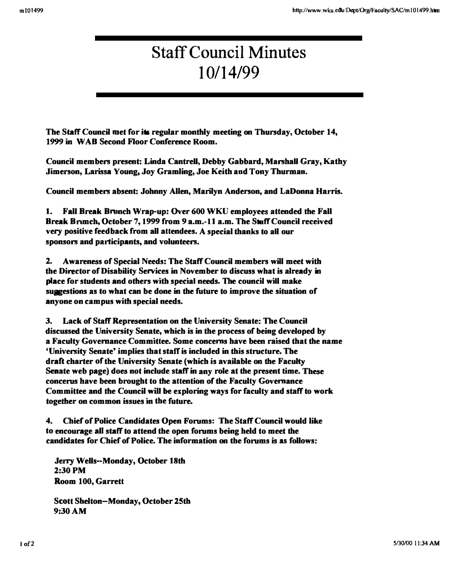# Staff Council Minutes 10/14/99

The Staff Council met for its regular monthly meeting on Thursday, October 14, 1999 in WAD Second Floor Conference Room.

Council members present: Linda Cantrell, Debby Gabbard, Marshall Gray, Kathy Jimerson, Larissa Young, Joy Gramling, Joe Keith aod Tony Thurman.

Council members absent: Johnny Allen, Marilyn Anderson, and LaDonna Harris.

1. Fall Break Brunch Wrap-up: Over 600 WKU employees attended the Fall Break Brunch, October 7, 1999 from 9 a.m. -11 a.m. The Staff Council received very positive feedback from all attendees. A special thanks to all our sponsors and participants, and volunteers.

2. Awareness of Special Needs: The Staff Council members will meet with the Director of Disability Services in November to discuss what is already in place for students and others with special needs. The council will make suggestions as to what can be done in the future to improve the situation of anyone on campus with special needs.

3. Lack of Staff Representation on the University Senate: The Council discussed the University Senate, which is in the process of being developed by a Faculty Governance Committee. Some concerns have been raised that the name 'University Senate' implies that staff is included in this stmcture. The draft charter of the University Senate (which is available on the Faculty Senate web page) does not include staff in any role at the present time. These concems have been brought to the attention of the Faculty Governance Committee and the Council will be exploring ways for faculty and staff to work together on common issues in the future.

4. Chief of Police Candidates Open Fomms: The Staff Council would like to encourage aU staff to attend the open fomms being held to meet the candidates for Chief of Police. The information on the fomms is as follows:

Jerry Wells-Monday, October 18th 2:30PM Room 100, Garrett

Scott Sbelton-Monday, October 25th 9:30 AM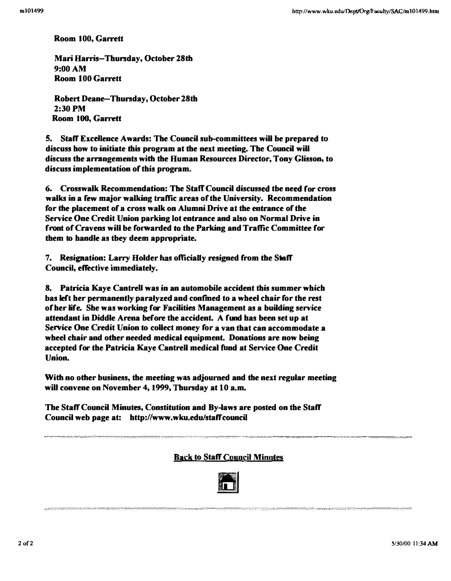Room 100, Garrett

Mari Harris-Thursday, October 28th 9:00AM Room 100 Garrett

Robert Deane-Thursday, October 28th 2:30PM Room 100, Garrett

5. Staff Excellence Awards: The Council sub-committees will be prepared to discuss how to initiate this program at the next meeting. The Council will discuss the arrangements with the Human Resources Director, Tony Glisson, to discuss implementation of this program.

6. Crosswalk Recommendation: The Staff Council discussed tbe need for cross walks in a few major walking traffic areas of the University. Recommendation for the placement of a cross walk on Alumni Drive at the entrance of the Service One Credit Union parking lot entrance and also on Normal Drive in front of Cravens will be forwarded to the Parking and Traffic Committee for them to handle as tbey deem appropriate.

7. Resignation: Larry Holder has ofticiaUy resigned from the Staff Council, effective immediately.

8. Patricia Kaye Cantrell was in an automobile accident this summer which bas left her permanently paralyzed and confmed to a wbeel chair for the rest of her life. She was working for Facilities Management as a building service attendant in Diddle Arena before the accident. A fund has been set up at Service One Credit Union to collect money for a van that can accommodate a wheel chair and other needed medical equipment. Donations are now being accepted for the Patricia Kaye Cantrell medical fund at Service One Credit Union.

With no other business, the meeting was adjourned and the next regular meeting will convene on November 4, 1999, Thursday at 10 a.m.

The Staff Council Minutes, Constitution and By-laws are posted on the Staff Council web page at: http://www.wku.edu/staffcouncil

,.···.······ .... ·.··· .... ··:, .. :w,.: .. ,.·,··············· .....• , ••... \_ ...... , ........... \_ ..•...........

Back to Staff Council Minutes

. , .. .......... .. ... " ............ " .......... .



::'::::::::""'''":,:,'''''','''''''''',,.::,,, .....•••••.............. ,.,::::"."., ... ,.:.,., :.: ....................... :::: .... ...... . . .... . -."" ....... ""::"::::,,,.,,.- ........... ,,:,,: ..... , ........ ,.,.,,",,::::.::, ....... .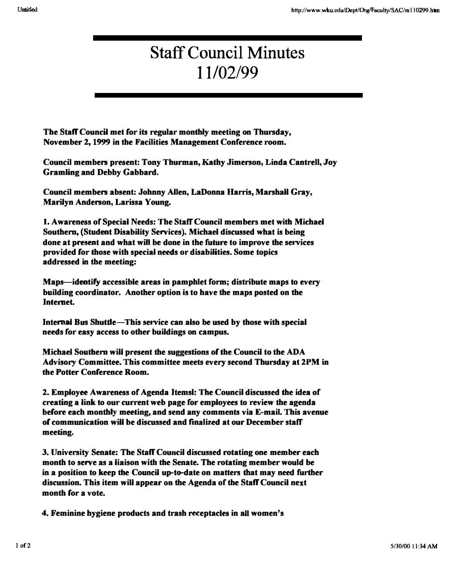## Staff Council Minutes 11/02199

The Staff Council met for its regular monthly meeting on Thursday, November 2, 1999 in the Facilities Management Conference room.

Council members present: Tony Thurman, Kathy Jimerson, Linda Cantrell, Joy Gramling and Debby Gabbard.

Council members absent: Johnny Allen, LaDonna Harris, Marshall Gray, Marilyn Anderson, Larissa Young.

1. Awareness of Special Needs: The Staff Council members met with Michael Southern, (Student Disability Services). Michael discussed what is being done at present and what will be done in the future to improve the services provided for those with special needs or disabilities. Some topics addressed in the meeting:

Maps-identify accessible areas in pamphlet form; distribute maps to every building coordinator. Another option is to have the maps posted on the Internet.

Internal Bus Shuttle-This service can also be used by those with special needs for easy access to other buildings on campus.

Michael Southern will present the suggestions of the Council to the ADA Advisory Committee. This committee meets every second Thursday at 2PM in the Potter Conference Room.

2. Employee Awareness of Agenda Itemsl: The Council discussed the idea of creating a link to our current web page for employees to review the agenda before each monthly meeting, and send any comments via  $E<sub>z</sub>$ mail. This avenue of communication will be discussed and finalized at our December staff meeting.

3. University Senate: The Staff Council discussed rotating one member each month to serve as a liaison with the Senate. The rotating member would be in a position to keep the Council up-to-date on matters that may need further discussion. This item will appear 00 the Agenda of the Staff Council next month for a vote.

4. Feminine hygiene products and trash receptacles in all women's